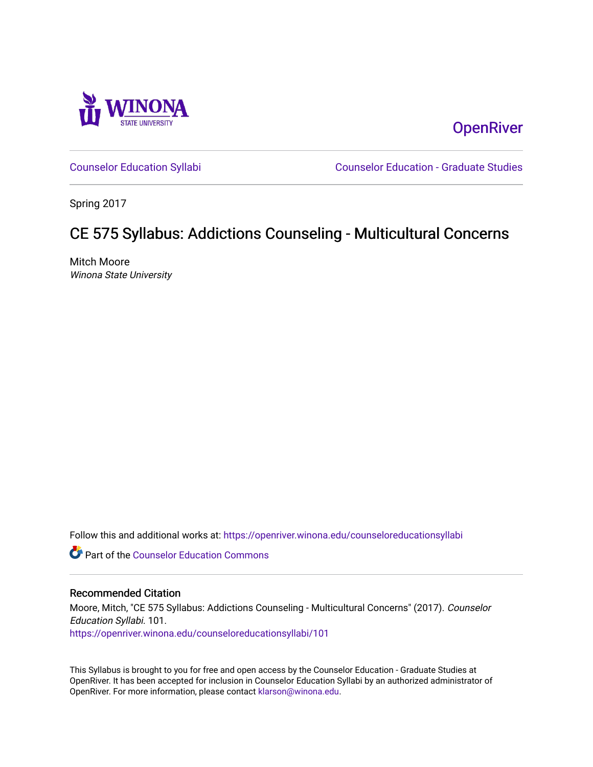

**OpenRiver** 

[Counselor Education Syllabi](https://openriver.winona.edu/counseloreducationsyllabi) [Counselor Education - Graduate Studies](https://openriver.winona.edu/counseloreducation) 

Spring 2017

# CE 575 Syllabus: Addictions Counseling - Multicultural Concerns

Mitch Moore Winona State University

Follow this and additional works at: [https://openriver.winona.edu/counseloreducationsyllabi](https://openriver.winona.edu/counseloreducationsyllabi?utm_source=openriver.winona.edu%2Fcounseloreducationsyllabi%2F101&utm_medium=PDF&utm_campaign=PDFCoverPages)

Part of the [Counselor Education Commons](http://network.bepress.com/hgg/discipline/1278?utm_source=openriver.winona.edu%2Fcounseloreducationsyllabi%2F101&utm_medium=PDF&utm_campaign=PDFCoverPages) 

### Recommended Citation

Moore, Mitch, "CE 575 Syllabus: Addictions Counseling - Multicultural Concerns" (2017). Counselor Education Syllabi. 101. [https://openriver.winona.edu/counseloreducationsyllabi/101](https://openriver.winona.edu/counseloreducationsyllabi/101?utm_source=openriver.winona.edu%2Fcounseloreducationsyllabi%2F101&utm_medium=PDF&utm_campaign=PDFCoverPages)

This Syllabus is brought to you for free and open access by the Counselor Education - Graduate Studies at OpenRiver. It has been accepted for inclusion in Counselor Education Syllabi by an authorized administrator of OpenRiver. For more information, please contact [klarson@winona.edu](mailto:klarson@winona.edu).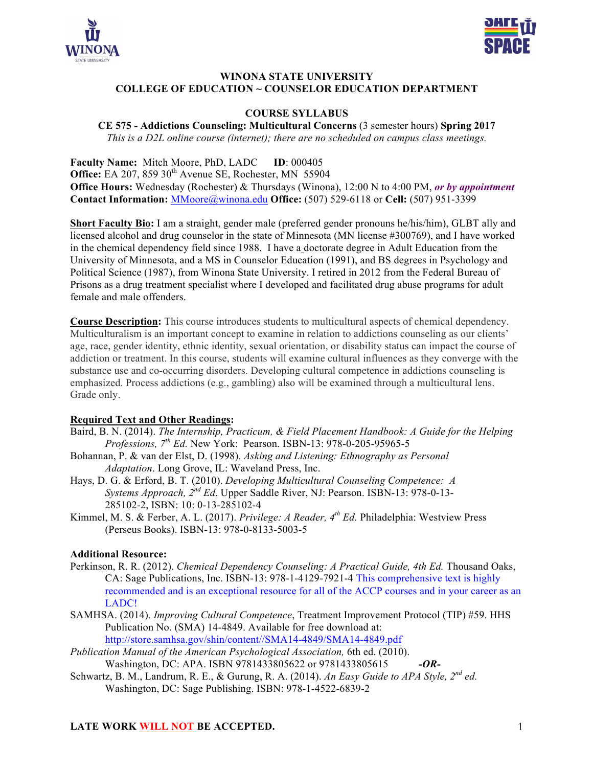



## **WINONA STATE UNIVERSITY COLLEGE OF EDUCATION ~ COUNSELOR EDUCATION DEPARTMENT**

## **COURSE SYLLABUS**

**CE 575 - Addictions Counseling: Multicultural Concerns** (3 semester hours) **Spring 2017** *This is a D2L online course (internet); there are no scheduled on campus class meetings.*

**Faculty Name:** Mitch Moore, PhD, LADC **ID**: 000405 **Office:** EA 207, 859 30<sup>th</sup> Avenue SE, Rochester, MN 55904 **Office Hours:** Wednesday (Rochester) & Thursdays (Winona), 12:00 N to 4:00 PM, *or by appointment* **Contact Information:** MMoore@winona.edu **Office:** (507) 529-6118 or **Cell:** (507) 951-3399

**Short Faculty Bio:** I am a straight, gender male (preferred gender pronouns he/his/him), GLBT ally and licensed alcohol and drug counselor in the state of Minnesota (MN license #300769), and I have worked in the chemical dependency field since 1988. I have a doctorate degree in Adult Education from the University of Minnesota, and a MS in Counselor Education (1991), and BS degrees in Psychology and Political Science (1987), from Winona State University. I retired in 2012 from the Federal Bureau of Prisons as a drug treatment specialist where I developed and facilitated drug abuse programs for adult female and male offenders.

**Course Description:** This course introduces students to multicultural aspects of chemical dependency. Multiculturalism is an important concept to examine in relation to addictions counseling as our clients' age, race, gender identity, ethnic identity, sexual orientation, or disability status can impact the course of addiction or treatment. In this course, students will examine cultural influences as they converge with the substance use and co-occurring disorders. Developing cultural competence in addictions counseling is emphasized. Process addictions (e.g., gambling) also will be examined through a multicultural lens. Grade only.

### **Required Text and Other Readings:**

- Baird, B. N. (2014). *The Internship, Practicum, & Field Placement Handbook: A Guide for the Helping Professions, 7th Ed.* New York: Pearson. ISBN-13: 978-0-205-95965-5
- Bohannan, P. & van der Elst, D. (1998). *Asking and Listening: Ethnography as Personal Adaptation*. Long Grove, IL: Waveland Press, Inc.
- Hays, D. G. & Erford, B. T. (2010). *Developing Multicultural Counseling Competence: A Systems Approach, 2nd Ed*. Upper Saddle River, NJ: Pearson. ISBN-13: 978-0-13- 285102-2, ISBN: 10: 0-13-285102-4
- Kimmel, M. S. & Ferber, A. L. (2017). *Privilege: A Reader, 4th Ed.* Philadelphia: Westview Press (Perseus Books). ISBN-13: 978-0-8133-5003-5

### **Additional Resource:**

- Perkinson, R. R. (2012). *Chemical Dependency Counseling: A Practical Guide, 4th Ed.* Thousand Oaks, CA: Sage Publications, Inc. ISBN-13: 978-1-4129-7921-4 This comprehensive text is highly recommended and is an exceptional resource for all of the ACCP courses and in your career as an LADC!
- SAMHSA. (2014). *Improving Cultural Competence*, Treatment Improvement Protocol (TIP) #59. HHS Publication No. (SMA) 14-4849. Available for free download at: http://store.samhsa.gov/shin/content//SMA14-4849/SMA14-4849.pdf
- *Publication Manual of the American Psychological Association,* 6th ed. (2010). Washington, DC: APA. ISBN 9781433805622 or 9781433805615 *-OR-*
- Schwartz, B. M., Landrum, R. E., & Gurung, R. A. (2014). *An Easy Guide to APA Style, 2nd ed.* Washington, DC: Sage Publishing. ISBN: 978-1-4522-6839-2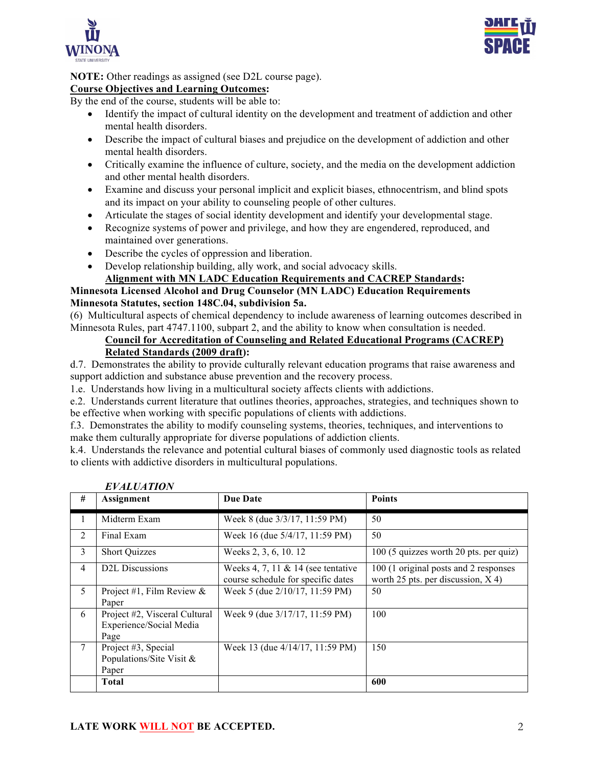



## **NOTE:** Other readings as assigned (see D2L course page).

## **Course Objectives and Learning Outcomes:**

By the end of the course, students will be able to:

- Identify the impact of cultural identity on the development and treatment of addiction and other mental health disorders.
- Describe the impact of cultural biases and prejudice on the development of addiction and other mental health disorders.
- Critically examine the influence of culture, society, and the media on the development addiction and other mental health disorders.
- Examine and discuss your personal implicit and explicit biases, ethnocentrism, and blind spots and its impact on your ability to counseling people of other cultures.
- Articulate the stages of social identity development and identify your developmental stage.
- Recognize systems of power and privilege, and how they are engendered, reproduced, and maintained over generations.
- Describe the cycles of oppression and liberation.
- Develop relationship building, ally work, and social advocacy skills.

## **Alignment with MN LADC Education Requirements and CACREP Standards:**

#### **Minnesota Licensed Alcohol and Drug Counselor (MN LADC) Education Requirements Minnesota Statutes, section 148C.04, subdivision 5a.**

(6) Multicultural aspects of chemical dependency to include awareness of learning outcomes described in Minnesota Rules, part 4747.1100, subpart 2, and the ability to know when consultation is needed.

## **Council for Accreditation of Counseling and Related Educational Programs (CACREP)**

## **Related Standards (2009 draft):**

d.7. Demonstrates the ability to provide culturally relevant education programs that raise awareness and support addiction and substance abuse prevention and the recovery process.

1.e. Understands how living in a multicultural society affects clients with addictions.

e.2. Understands current literature that outlines theories, approaches, strategies, and techniques shown to be effective when working with specific populations of clients with addictions.

f.3. Demonstrates the ability to modify counseling systems, theories, techniques, and interventions to make them culturally appropriate for diverse populations of addiction clients.

k.4. Understands the relevance and potential cultural biases of commonly used diagnostic tools as related to clients with addictive disorders in multicultural populations.

|   | <i>En Ar</i> entier                                              |                                                                             |                                                                               |  |  |  |  |  |
|---|------------------------------------------------------------------|-----------------------------------------------------------------------------|-------------------------------------------------------------------------------|--|--|--|--|--|
| # | Assignment                                                       | <b>Due Date</b>                                                             | <b>Points</b>                                                                 |  |  |  |  |  |
| 1 | Midterm Exam                                                     | Week 8 (due 3/3/17, 11:59 PM)                                               | 50                                                                            |  |  |  |  |  |
| 2 | Final Exam                                                       | Week 16 (due 5/4/17, 11:59 PM)                                              | 50                                                                            |  |  |  |  |  |
| 3 | <b>Short Quizzes</b>                                             | Weeks 2, 3, 6, 10. 12                                                       | 100 (5 quizzes worth 20 pts. per quiz)                                        |  |  |  |  |  |
| 4 | D <sub>2</sub> L Discussions                                     | Weeks 4, 7, 11 $\&$ 14 (see tentative<br>course schedule for specific dates | 100 (1 original posts and 2 responses<br>worth 25 pts. per discussion, $X$ 4) |  |  |  |  |  |
| 5 | Project #1, Film Review $\&$<br>Paper                            | Week 5 (due 2/10/17, 11:59 PM)                                              | 50                                                                            |  |  |  |  |  |
| 6 | Project #2, Visceral Cultural<br>Experience/Social Media<br>Page | Week 9 (due 3/17/17, 11:59 PM)                                              | 100                                                                           |  |  |  |  |  |
| 7 | Project #3, Special<br>Populations/Site Visit &<br>Paper         | Week 13 (due 4/14/17, 11:59 PM)                                             | 150                                                                           |  |  |  |  |  |
|   | <b>Total</b>                                                     |                                                                             | 600                                                                           |  |  |  |  |  |

| <b>EVALUATION</b> |  |  |  |
|-------------------|--|--|--|
|-------------------|--|--|--|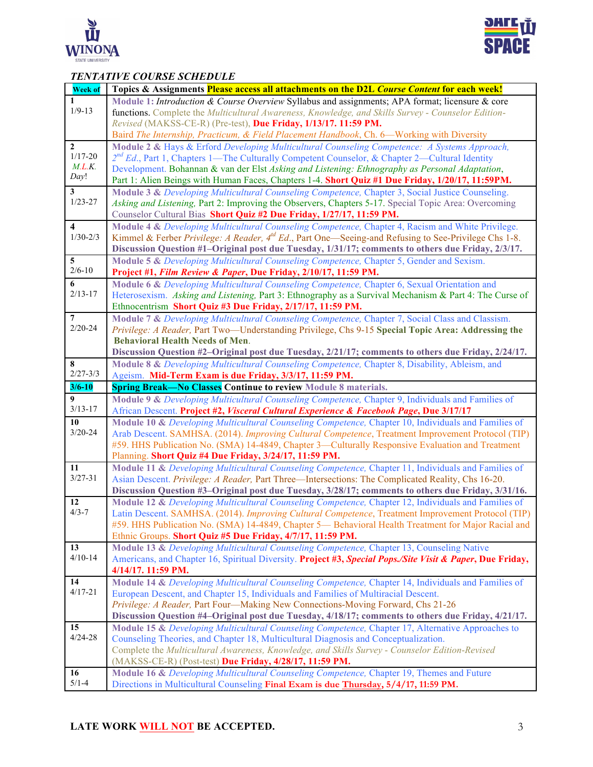



## *TENTATIVE COURSE SCHEDULE*

|                         | і Ергілі і рассмы всперсее<br>Topics & Assignments Please access all attachments on the D2L Course Content for each week! |
|-------------------------|---------------------------------------------------------------------------------------------------------------------------|
| <b>Week of</b>          |                                                                                                                           |
| 1<br>$1/9 - 13$         | Module 1: Introduction & Course Overview Syllabus and assignments; APA format; licensure & core                           |
|                         | functions. Complete the Multicultural Awareness, Knowledge, and Skills Survey - Counselor Edition-                        |
|                         | Revised (MAKSS-CE-R) (Pre-test), Due Friday, 1/13/17. 11:59 PM.                                                           |
|                         | Baird The Internship, Practicum, & Field Placement Handbook, Ch. 6—Working with Diversity                                 |
| $\mathbf{2}$            | Module 2 & Hays & Erford Developing Multicultural Counseling Competence: A Systems Approach,                              |
| $1/17 - 20$             | $2^{nd}$ Ed., Part 1, Chapters 1—The Culturally Competent Counselor, & Chapter 2—Cultural Identity                        |
| M.L.K.                  | Development. Bohannan & van der Elst Asking and Listening: Ethnography as Personal Adaptation,                            |
| Day!                    | Part 1: Alien Beings with Human Faces, Chapters 1-4. Short Quiz #1 Due Friday, 1/20/17, 11:59PM.                          |
| $\mathbf{3}$            | Module 3 & Developing Multicultural Counseling Competence, Chapter 3, Social Justice Counseling.                          |
| $1/23 - 27$             | Asking and Listening, Part 2: Improving the Observers, Chapters 5-17. Special Topic Area: Overcoming                      |
|                         | Counselor Cultural Bias Short Quiz #2 Due Friday, 1/27/17, 11:59 PM.                                                      |
| $\overline{\mathbf{4}}$ | Module 4 & Developing Multicultural Counseling Competence, Chapter 4, Racism and White Privilege.                         |
| $1/30 - 2/3$            | Kimmel & Ferber Privilege: A Reader, $4^{nd} Ed$ , Part One—Seeing-and Refusing to See-Privilege Chs 1-8.                 |
|                         | Discussion Question #1-Original post due Tuesday, 1/31/17; comments to others due Friday, 2/3/17.                         |
| 5                       | Module 5 & Developing Multicultural Counseling Competence, Chapter 5, Gender and Sexism.                                  |
| $2/6 - 10$              | Project #1, Film Review & Paper, Due Friday, 2/10/17, 11:59 PM.                                                           |
| 6                       | Module 6 & Developing Multicultural Counseling Competence, Chapter 6, Sexual Orientation and                              |
| $2/13 - 17$             | Heterosexism. Asking and Listening, Part 3: Ethnography as a Survival Mechanism & Part 4: The Curse of                    |
|                         | Ethnocentrism Short Quiz #3 Due Friday, 2/17/17, 11:59 PM.                                                                |
| $\overline{7}$          | Module 7 & Developing Multicultural Counseling Competence, Chapter 7, Social Class and Classism.                          |
| $2/20 - 24$             | Privilege: A Reader, Part Two—Understanding Privilege, Chs 9-15 Special Topic Area: Addressing the                        |
|                         | <b>Behavioral Health Needs of Men.</b>                                                                                    |
|                         |                                                                                                                           |
|                         | Discussion Question #2-Original post due Tuesday, 2/21/17; comments to others due Friday, 2/24/17.                        |
| 8<br>$2/27 - 3/3$       | Module 8 & Developing Multicultural Counseling Competence, Chapter 8, Disability, Ableism, and                            |
|                         | Ageism. Mid-Term Exam is due Friday, 3/3/17, 11:59 PM.                                                                    |
| $3/6 - 10$              | <b>Spring Break-No Classes Continue to review Module 8 materials.</b>                                                     |
| 9                       | Module 9 & Developing Multicultural Counseling Competence, Chapter 9, Individuals and Families of                         |
| $3/13 - 17$             | African Descent. Project #2, Visceral Cultural Experience & Facebook Page, Due 3/17/17                                    |
| 10                      | Module 10 & Developing Multicultural Counseling Competence, Chapter 10, Individuals and Families of                       |
| $3/20 - 24$             | Arab Descent. SAMHSA. (2014). Improving Cultural Competence, Treatment Improvement Protocol (TIP)                         |
|                         | #59. HHS Publication No. (SMA) 14-4849, Chapter 3—Culturally Responsive Evaluation and Treatment                          |
|                         | Planning. Short Quiz #4 Due Friday, 3/24/17, 11:59 PM.                                                                    |
| 11                      | Module 11 & Developing Multicultural Counseling Competence, Chapter 11, Individuals and Families of                       |
| $3/27 - 31$             | Asian Descent. Privilege: A Reader, Part Three—Intersections: The Complicated Reality, Chs 16-20.                         |
|                         | Discussion Question #3-Original post due Tuesday, 3/28/17; comments to others due Friday, 3/31/16.                        |
| 12                      | Module 12 & Developing Multicultural Counseling Competence, Chapter 12, Individuals and Families of                       |
| $4/3 - 7$               | Latin Descent. SAMHSA. (2014). Improving Cultural Competence, Treatment Improvement Protocol (TIP)                        |
|                         | #59. HHS Publication No. (SMA) 14-4849, Chapter 5— Behavioral Health Treatment for Major Racial and                       |
|                         | Ethnic Groups. Short Quiz #5 Due Friday, 4/7/17, 11:59 PM.                                                                |
| 13                      | Module 13 & Developing Multicultural Counseling Competence, Chapter 13, Counseling Native                                 |
| $4/10 - 14$             | Americans, and Chapter 16, Spiritual Diversity. Project #3, Special Pops./Site Visit & Paper, Due Friday,                 |
|                         | 4/14/17. 11:59 PM.                                                                                                        |
| 14                      | Module 14 & Developing Multicultural Counseling Competence, Chapter 14, Individuals and Families of                       |
| $4/17 - 21$             | European Descent, and Chapter 15, Individuals and Families of Multiracial Descent.                                        |
|                         | Privilege: A Reader, Part Four—Making New Connections-Moving Forward, Chs 21-26                                           |
|                         |                                                                                                                           |
|                         | Discussion Question #4-Original post due Tuesday, 4/18/17; comments to others due Friday, 4/21/17.                        |
| 15                      | Module 15 & Developing Multicultural Counseling Competence, Chapter 17, Alternative Approaches to                         |
| $4/24 - 28$             | Counseling Theories, and Chapter 18, Multicultural Diagnosis and Conceptualization.                                       |
|                         | Complete the Multicultural Awareness, Knowledge, and Skills Survey - Counselor Edition-Revised                            |
|                         | (MAKSS-CE-R) (Post-test) Due Friday, 4/28/17, 11:59 PM.                                                                   |
| 16                      | Module 16 & Developing Multicultural Counseling Competence, Chapter 19, Themes and Future                                 |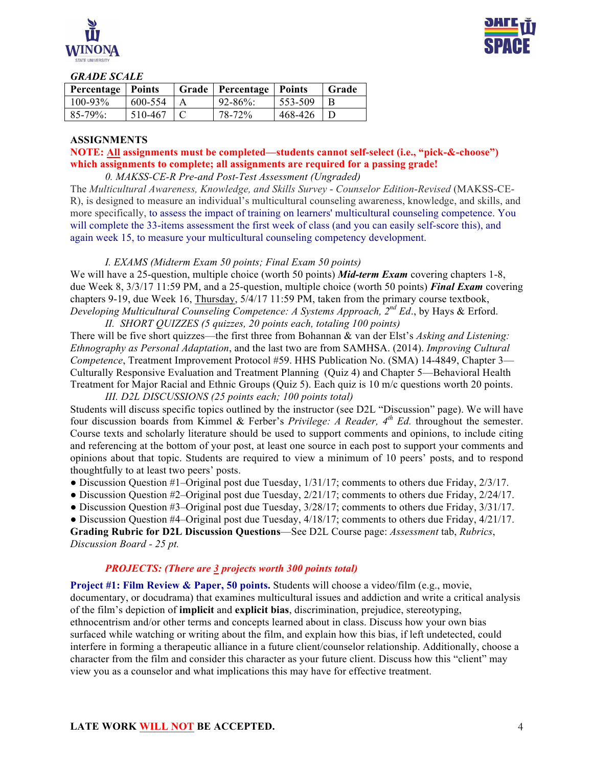



#### *GRADE SCALE*

| <b>Percentage</b>   Points |         | Grade   Percentage   Points |             | Grade |
|----------------------------|---------|-----------------------------|-------------|-------|
| $100 - 93\%$               | 600-554 | $92 - 86\%$                 | $553 - 509$ |       |
| $85 - 79\%$                | 510-467 | 78-72%                      | 468-426     |       |

#### **ASSIGNMENTS**

## **NOTE: All assignments must be completed—students cannot self-select (i.e., "pick-&-choose") which assignments to complete; all assignments are required for a passing grade!**

*0. MAKSS-CE-R Pre-and Post-Test Assessment (Ungraded)*

The *Multicultural Awareness, Knowledge, and Skills Survey* - *Counselor Edition*-*Revised* (MAKSS-CE-R), is designed to measure an individual's multicultural counseling awareness, knowledge, and skills, and more specifically, to assess the impact of training on learners' multicultural counseling competence. You will complete the 33-items assessment the first week of class (and you can easily self-score this), and again week 15, to measure your multicultural counseling competency development.

#### *I. EXAMS (Midterm Exam 50 points; Final Exam 50 points)*

We will have a 25-question, multiple choice (worth 50 points) *Mid-term Exam* covering chapters 1-8, due Week 8, 3/3/17 11:59 PM, and a 25-question, multiple choice (worth 50 points) *Final Exam* covering chapters 9-19, due Week 16, Thursday, 5/4/17 11:59 PM, taken from the primary course textbook, *Developing Multicultural Counseling Competence: A Systems Approach, 2nd Ed*., by Hays & Erford. *II. SHORT QUIZZES (5 quizzes, 20 points each, totaling 100 points)*

There will be five short quizzes—the first three from Bohannan & van der Elst's *Asking and Listening: Ethnography as Personal Adaptation*, and the last two are from SAMHSA. (2014). *Improving Cultural Competence*, Treatment Improvement Protocol #59. HHS Publication No. (SMA) 14-4849, Chapter 3— Culturally Responsive Evaluation and Treatment Planning (Quiz 4) and Chapter 5—Behavioral Health Treatment for Major Racial and Ethnic Groups (Quiz 5). Each quiz is 10 m/c questions worth 20 points. *III. D2L DISCUSSIONS (25 points each; 100 points total)*

Students will discuss specific topics outlined by the instructor (see D2L "Discussion" page). We will have four discussion boards from Kimmel & Ferber's *Privilege: A Reader, 4th Ed.* throughout the semester. Course texts and scholarly literature should be used to support comments and opinions, to include citing and referencing at the bottom of your post, at least one source in each post to support your comments and opinions about that topic. Students are required to view a minimum of 10 peers' posts, and to respond thoughtfully to at least two peers' posts.

- Discussion Question #1–Original post due Tuesday,  $1/31/17$ ; comments to others due Friday,  $2/3/17$ .
- Discussion Question #2–Original post due Tuesday, 2/21/17; comments to others due Friday, 2/24/17.
- Discussion Question #3–Original post due Tuesday,  $3/28/17$ ; comments to others due Friday,  $3/31/17$ .

• Discussion Question #4–Original post due Tuesday,  $4/18/17$ ; comments to others due Friday,  $4/21/17$ . **Grading Rubric for D2L Discussion Questions**—See D2L Course page: *Assessment* tab, *Rubrics*, *Discussion Board - 25 pt.*

### *PROJECTS: (There are 3 projects worth 300 points total)*

**Project #1: Film Review & Paper, 50 points.** Students will choose a video/film (e.g., movie, documentary, or docudrama) that examines multicultural issues and addiction and write a critical analysis of the film's depiction of **implicit** and **explicit bias**, discrimination, prejudice, stereotyping, ethnocentrism and/or other terms and concepts learned about in class. Discuss how your own bias surfaced while watching or writing about the film, and explain how this bias, if left undetected, could interfere in forming a therapeutic alliance in a future client/counselor relationship. Additionally, choose a character from the film and consider this character as your future client. Discuss how this "client" may view you as a counselor and what implications this may have for effective treatment.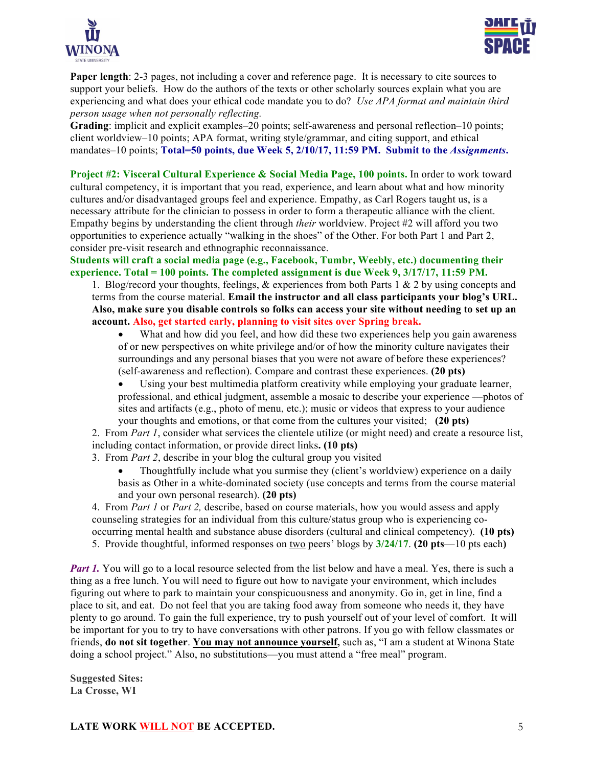



**Paper length**: 2-3 pages, not including a cover and reference page. It is necessary to cite sources to support your beliefs. How do the authors of the texts or other scholarly sources explain what you are experiencing and what does your ethical code mandate you to do? *Use APA format and maintain third person usage when not personally reflecting.*

**Grading**: implicit and explicit examples–20 points; self-awareness and personal reflection–10 points; client worldview–10 points; APA format, writing style/grammar, and citing support, and ethical mandates–10 points; **Total=50 points, due Week 5, 2/10/17, 11:59 PM.** Submit to the *Assignments*.

**Project #2: Visceral Cultural Experience & Social Media Page, 100 points.** In order to work toward cultural competency, it is important that you read, experience, and learn about what and how minority cultures and/or disadvantaged groups feel and experience. Empathy, as Carl Rogers taught us, is a necessary attribute for the clinician to possess in order to form a therapeutic alliance with the client. Empathy begins by understanding the client through *their* worldview. Project #2 will afford you two opportunities to experience actually "walking in the shoes" of the Other. For both Part 1 and Part 2, consider pre-visit research and ethnographic reconnaissance.

**Students will craft a social media page (e.g., Facebook, Tumbr, Weebly, etc.) documenting their experience. Total = 100 points. The completed assignment is due Week 9, 3/17/17, 11:59 PM.** 

1. Blog/record your thoughts, feelings,  $\&$  experiences from both Parts 1  $\&$  2 by using concepts and terms from the course material. **Email the instructor and all class participants your blog's URL. Also, make sure you disable controls so folks can access your site without needing to set up an account. Also, get started early, planning to visit sites over Spring break.**

• What and how did you feel, and how did these two experiences help you gain awareness of or new perspectives on white privilege and/or of how the minority culture navigates their surroundings and any personal biases that you were not aware of before these experiences? (self-awareness and reflection). Compare and contrast these experiences. **(20 pts)**

Using your best multimedia platform creativity while employing your graduate learner, professional, and ethical judgment, assemble a mosaic to describe your experience —photos of sites and artifacts (e.g., photo of menu, etc.); music or videos that express to your audience your thoughts and emotions, or that come from the cultures your visited; **(20 pts)**

2. From *Part 1*, consider what services the clientele utilize (or might need) and create a resource list, including contact information, or provide direct links**. (10 pts)**

- 3. From *Part 2*, describe in your blog the cultural group you visited
	- Thoughtfully include what you surmise they (client's worldview) experience on a daily basis as Other in a white-dominated society (use concepts and terms from the course material and your own personal research). **(20 pts)**

4. From *Part 1* or *Part 2,* describe, based on course materials, how you would assess and apply counseling strategies for an individual from this culture/status group who is experiencing cooccurring mental health and substance abuse disorders (cultural and clinical competency). **(10 pts)** 5. Provide thoughtful, informed responses on two peers' blogs by **3/24/17**. **(20 pts**—10 pts each**)**

*Part 1.* You will go to a local resource selected from the list below and have a meal. Yes, there is such a thing as a free lunch. You will need to figure out how to navigate your environment, which includes figuring out where to park to maintain your conspicuousness and anonymity. Go in, get in line, find a place to sit, and eat. Do not feel that you are taking food away from someone who needs it, they have plenty to go around. To gain the full experience, try to push yourself out of your level of comfort. It will be important for you to try to have conversations with other patrons. If you go with fellow classmates or friends, **do not sit together**. **You may not announce yourself,** such as, "I am a student at Winona State doing a school project." Also, no substitutions—you must attend a "free meal" program.

**Suggested Sites: La Crosse, WI**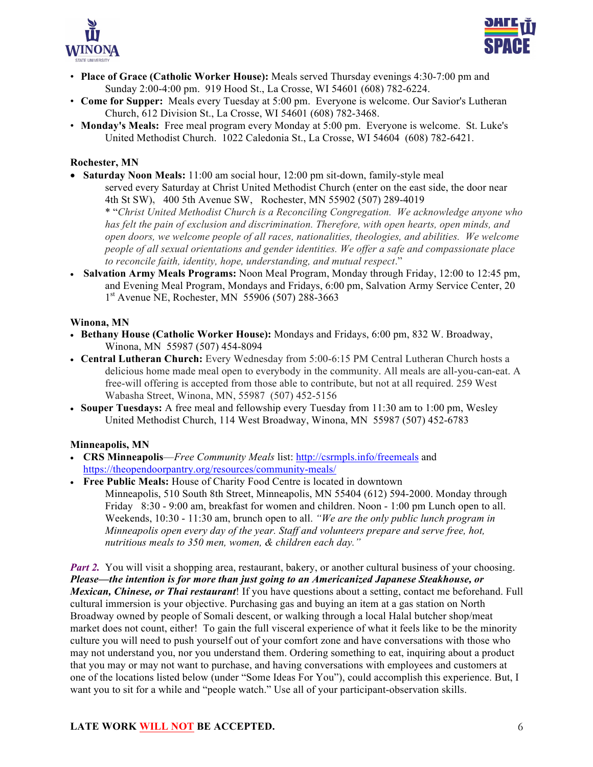



- **Place of Grace (Catholic Worker House):** Meals served Thursday evenings 4:30-7:00 pm and Sunday 2:00-4:00 pm. 919 Hood St., La Crosse, WI 54601 (608) 782-6224.
- **Come for Supper:** Meals every Tuesday at 5:00 pm. Everyone is welcome. Our Savior's Lutheran Church, 612 Division St., La Crosse, WI 54601 (608) 782-3468.
- **Monday's Meals:** Free meal program every Monday at 5:00 pm. Everyone is welcome. St. Luke's United Methodist Church. 1022 Caledonia St., La Crosse, WI 54604 (608) 782-6421.

### **Rochester, MN**

- **Saturday Noon Meals:** 11:00 am social hour, 12:00 pm sit-down, family-style meal served every Saturday at Christ United Methodist Church (enter on the east side, the door near 4th St SW)**,** 400 5th Avenue SW, Rochester, MN 55902 (507) 289-4019 \* "*Christ United Methodist Church is a Reconciling Congregation. We acknowledge anyone who has felt the pain of exclusion and discrimination. Therefore, with open hearts, open minds, and open doors, we welcome people of all races, nationalities, theologies, and abilities. We welcome people of all sexual orientations and gender identities. We offer a safe and compassionate place to reconcile faith, identity, hope, understanding, and mutual respect*."
- **Salvation Army Meals Programs:** Noon Meal Program, Monday through Friday, 12:00 to 12:45 pm, and Evening Meal Program, Mondays and Fridays, 6:00 pm, Salvation Army Service Center, 20 1<sup>st</sup> Avenue NE, Rochester, MN 55906 (507) 288-3663

### **Winona, MN**

- **Bethany House (Catholic Worker House):** Mondays and Fridays, 6:00 pm, 832 W. Broadway, Winona, MN 55987 (507) 454-8094
- **Central Lutheran Church:** Every Wednesday from 5:00-6:15 PM Central Lutheran Church hosts a delicious home made meal open to everybody in the community. All meals are all-you-can-eat. A free-will offering is accepted from those able to contribute, but not at all required. 259 West Wabasha Street, Winona, MN, 55987 (507) 452-5156
- **Souper Tuesdays:** A free meal and fellowship every Tuesday from 11:30 am to 1:00 pm, Wesley United Methodist Church, 114 West Broadway, Winona, MN 55987 (507) 452-6783

## **Minneapolis, MN**

- **CRS Minneapolis**—*Free Community Meals* list: http://csrmpls.info/freemeals and https://theopendoorpantry.org/resources/community-meals/
- **Free Public Meals:** House of Charity Food Centre is located in downtown Minneapolis, 510 South 8th Street, Minneapolis, MN 55404 (612) 594-2000. Monday through Friday 8:30 - 9:00 am, breakfast for women and children. Noon - 1:00 pm Lunch open to all. Weekends, 10:30 - 11:30 am, brunch open to all. *"We are the only public lunch program in Minneapolis open every day of the year. Staff and volunteers prepare and serve free, hot, nutritious meals to 350 men, women, & children each day."*

*Part 2.* You will visit a shopping area, restaurant, bakery, or another cultural business of your choosing. *Please—the intention is for more than just going to an Americanized Japanese Steakhouse, or Mexican, Chinese, or Thai restaurant*! If you have questions about a setting, contact me beforehand. Full cultural immersion is your objective. Purchasing gas and buying an item at a gas station on North Broadway owned by people of Somali descent, or walking through a local Halal butcher shop/meat market does not count, either! To gain the full visceral experience of what it feels like to be the minority culture you will need to push yourself out of your comfort zone and have conversations with those who may not understand you, nor you understand them. Ordering something to eat, inquiring about a product that you may or may not want to purchase, and having conversations with employees and customers at one of the locations listed below (under "Some Ideas For You"), could accomplish this experience. But, I want you to sit for a while and "people watch." Use all of your participant-observation skills.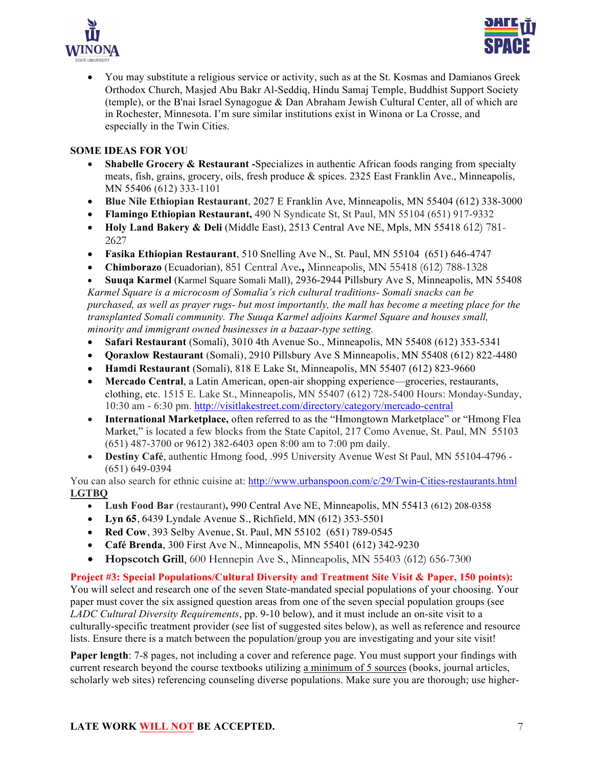



• You may substitute a religious service or activity, such as at the St. Kosmas and Damianos Greek Orthodox Church, Masjed Abu Bakr Al-Seddiq, Hindu Samaj Temple, Buddhist Support Society (temple), or the B'nai Israel Synagogue & Dan Abraham Jewish Cultural Center, all of which are in Rochester, Minnesota. I'm sure similar institutions exist in Winona or La Crosse, and especially in the Twin Cities.

## **SOME IDEAS FOR YOU**

- **Shabelle Grocery & Restaurant** -Specializes in authentic African foods ranging from specialty meats, fish, grains, grocery, oils, fresh produce & spices. 2325 East Franklin Ave., Minneapolis, MN 55406 (612) 333-1101
- **Blue Nile Ethiopian Restaurant**, 2027 E Franklin Ave, Minneapolis, MN 55404 (612) 338-3000
- **Flamingo Ethiopian Restaurant,** 490 N Syndicate St, St Paul, MN 55104 (651) 917-9332
- **Holy Land Bakery & Deli** (Middle East), 2513 Central Ave NE, Mpls, MN 55418 612) 781- 2627
- **Fasika Ethiopian Restaurant**, 510 Snelling Ave N., St. Paul, MN 55104 (651) 646-4747
- **Chimborazo** (Ecuadorian), 851 Central Ave**.,** Minneapolis, MN 55418 (612) 788-1328

• **Suuqa Karmel** (Karmel Square Somali Mall), 2936-2944 Pillsbury Ave S, Minneapolis, MN 55408 *Karmel Square is a microcosm of Somalia's rich cultural traditions- Somali snacks can be purchased, as well as prayer rugs- but most importantly, the mall has become a meeting place for the transplanted Somali community. The Suuqa Karmel adjoins Karmel Square and houses small, minority and immigrant owned businesses in a bazaar-type setting.*

- **Safari Restaurant** (Somali), 3010 4th Avenue So., Minneapolis, MN 55408 (612) 353-5341
- **Qoraxlow Restaurant** (Somali), 2910 Pillsbury Ave S Minneapolis, MN 55408 (612) 822-4480
- **Hamdi Restaurant** (Somali), 818 E Lake St, Minneapolis, MN 55407 (612) 823-9660
- **Mercado Central**, a Latin American, open-air shopping experience—groceries, restaurants, clothing, etc. 1515 E. Lake St., Minneapolis, MN 55407 (612) 728-5400 Hours: Monday-Sunday, 10:30 am - 6:30 pm. http://visitlakestreet.com/directory/category/mercado-central
- **International Marketplace,** often referred to as the "Hmongtown Marketplace" or "Hmong Flea Market," is located a few blocks from the State Capitol, 217 Como Avenue, St. Paul, MN 55103 (651) 487-3700 or 9612) 382-6403 open 8:00 am to 7:00 pm daily.
- **Destiny Café**, authentic Hmong food, .995 University Avenue West St Paul, MN 55104-4796 (651) 649-0394

You can also search for ethnic cuisine at: http://www.urbanspoon.com/c/29/Twin-Cities-restaurants.html **LGTBQ**

- **Lush Food Bar** (restaurant)**,** 990 Central Ave NE, Minneapolis, MN 55413 (612) 208-0358
- **Lyn 65**, 6439 Lyndale Avenue S., Richfield, MN (612) 353-5501
- **Red Cow**, 393 Selby Avenue, St. Paul, MN 55102 (651) 789-0545
- **Café Brenda**, 300 First Ave N., Minneapolis, MN 55401 (612) 342-9230
- **Hopscotch Grill**, 600 Hennepin Ave S., Minneapolis, MN 55403 (612) 656-7300

**Project #3: Special Populations/Cultural Diversity and Treatment Site Visit & Paper, 150 points):** You will select and research one of the seven State-mandated special populations of your choosing. Your paper must cover the six assigned question areas from one of the seven special population groups (see *LADC Cultural Diversity Requirements*, pp. 9-10 below), and it must include an on-site visit to a culturally-specific treatment provider (see list of suggested sites below), as well as reference and resource lists. Ensure there is a match between the population/group you are investigating and your site visit!

**Paper length**: 7-8 pages, not including a cover and reference page. You must support your findings with current research beyond the course textbooks utilizing a minimum of 5 sources (books, journal articles, scholarly web sites) referencing counseling diverse populations. Make sure you are thorough; use higher-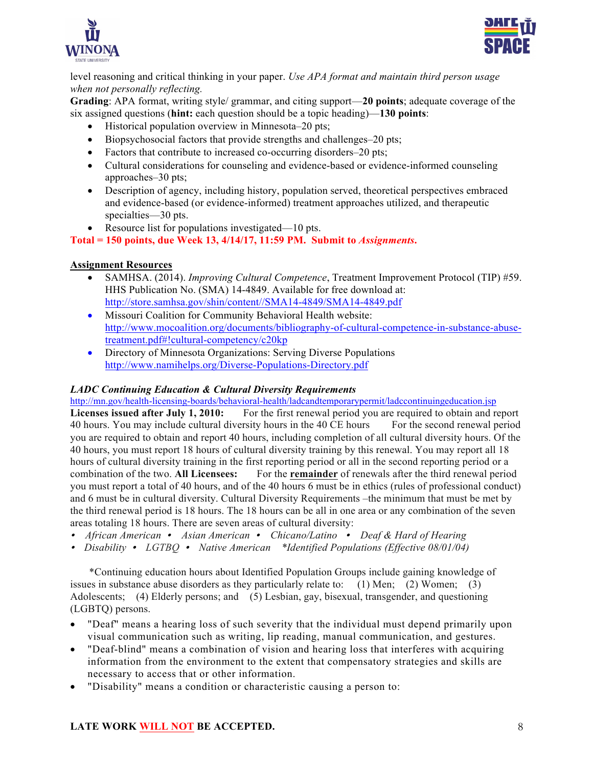



level reasoning and critical thinking in your paper. *Use APA format and maintain third person usage when not personally reflecting.*

**Grading**: APA format, writing style/ grammar, and citing support—**20 points**; adequate coverage of the six assigned questions (**hint:** each question should be a topic heading)—**130 points**:

- Historical population overview in Minnesota–20 pts;
- Biopsychosocial factors that provide strengths and challenges–20 pts;
- Factors that contribute to increased co-occurring disorders–20 pts;
- Cultural considerations for counseling and evidence-based or evidence-informed counseling approaches–30 pts;
- Description of agency, including history, population served, theoretical perspectives embraced and evidence-based (or evidence-informed) treatment approaches utilized, and therapeutic specialties—30 pts.
- Resource list for populations investigated—10 pts.
- **Total = 150 points, due Week 13, 4/14/17, 11:59 PM. Submit to** *Assignments***.**

### **Assignment Resources**

- SAMHSA. (2014). *Improving Cultural Competence*, Treatment Improvement Protocol (TIP) #59. HHS Publication No. (SMA) 14-4849. Available for free download at: http://store.samhsa.gov/shin/content//SMA14-4849/SMA14-4849.pdf
- Missouri Coalition for Community Behavioral Health website: http://www.mocoalition.org/documents/bibliography-of-cultural-competence-in-substance-abusetreatment.pdf#!cultural-competency/c20kp
- Directory of Minnesota Organizations: Serving Diverse Populations http://www.namihelps.org/Diverse-Populations-Directory.pdf

## *LADC Continuing Education & Cultural Diversity Requirements*

http://mn.gov/health-licensing-boards/behavioral-health/ladcandtemporarypermit/ladccontinuingeducation.jsp

Licenses issued after July 1, 2010: For the first renewal period you are required to obtain and report 40 hours. You may include cultural diversity hours in the 40 CE hours For the second renewal period you are required to obtain and report 40 hours, including completion of all cultural diversity hours. Of the 40 hours, you must report 18 hours of cultural diversity training by this renewal. You may report all 18 hours of cultural diversity training in the first reporting period or all in the second reporting period or a combination of the two. **All Licensees:** For the **remainder** of renewals after the third renewal period you must report a total of 40 hours, and of the 40 hours 6 must be in ethics (rules of professional conduct) and 6 must be in cultural diversity. Cultural Diversity Requirements –the minimum that must be met by the third renewal period is 18 hours. The 18 hours can be all in one area or any combination of the seven areas totaling 18 hours. There are seven areas of cultural diversity:

- *African American Asian American Chicano/Latino Deaf & Hard of Hearing*
- *Disability LGTBQ* *Native American \*Identified Populations (Effective 08/01/04)*

 \*Continuing education hours about Identified Population Groups include gaining knowledge of issues in substance abuse disorders as they particularly relate to: (1) Men; (2) Women; (3) Adolescents; (4) Elderly persons; and (5) Lesbian, gay, bisexual, transgender, and questioning (LGBTQ) persons.

- "Deaf" means a hearing loss of such severity that the individual must depend primarily upon visual communication such as writing, lip reading, manual communication, and gestures.
- "Deaf-blind" means a combination of vision and hearing loss that interferes with acquiring information from the environment to the extent that compensatory strategies and skills are necessary to access that or other information.
- "Disability" means a condition or characteristic causing a person to: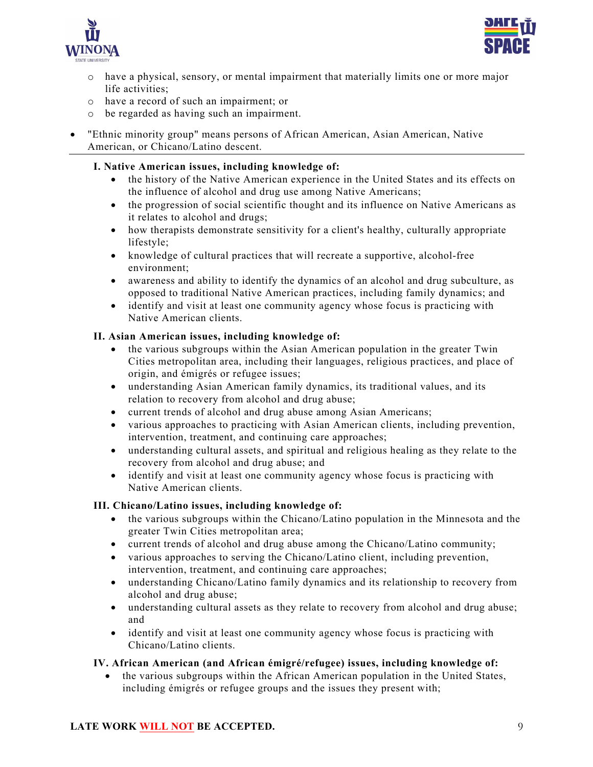



- o have a physical, sensory, or mental impairment that materially limits one or more major life activities;
- o have a record of such an impairment; or
- o be regarded as having such an impairment.
- "Ethnic minority group" means persons of African American, Asian American, Native American, or Chicano/Latino descent.

## **I. Native American issues, including knowledge of:**

- the history of the Native American experience in the United States and its effects on the influence of alcohol and drug use among Native Americans;
- the progression of social scientific thought and its influence on Native Americans as it relates to alcohol and drugs;
- how therapists demonstrate sensitivity for a client's healthy, culturally appropriate lifestyle;
- knowledge of cultural practices that will recreate a supportive, alcohol-free environment;
- awareness and ability to identify the dynamics of an alcohol and drug subculture, as opposed to traditional Native American practices, including family dynamics; and
- identify and visit at least one community agency whose focus is practicing with Native American clients.

## **II. Asian American issues, including knowledge of:**

- the various subgroups within the Asian American population in the greater Twin Cities metropolitan area, including their languages, religious practices, and place of origin, and émigrés or refugee issues;
- understanding Asian American family dynamics, its traditional values, and its relation to recovery from alcohol and drug abuse;
- current trends of alcohol and drug abuse among Asian Americans;
- various approaches to practicing with Asian American clients, including prevention, intervention, treatment, and continuing care approaches;
- understanding cultural assets, and spiritual and religious healing as they relate to the recovery from alcohol and drug abuse; and
- identify and visit at least one community agency whose focus is practicing with Native American clients.

## **III. Chicano/Latino issues, including knowledge of:**

- the various subgroups within the Chicano/Latino population in the Minnesota and the greater Twin Cities metropolitan area;
- current trends of alcohol and drug abuse among the Chicano/Latino community;
- various approaches to serving the Chicano/Latino client, including prevention, intervention, treatment, and continuing care approaches;
- understanding Chicano/Latino family dynamics and its relationship to recovery from alcohol and drug abuse;
- understanding cultural assets as they relate to recovery from alcohol and drug abuse; and
- identify and visit at least one community agency whose focus is practicing with Chicano/Latino clients.

## **IV. African American (and African émigré/refugee) issues, including knowledge of:**

• the various subgroups within the African American population in the United States, including émigrés or refugee groups and the issues they present with;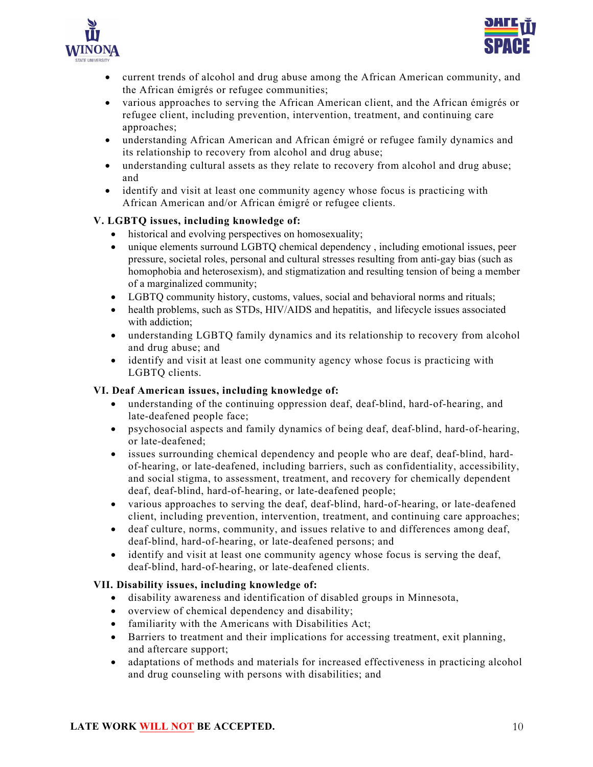



- current trends of alcohol and drug abuse among the African American community, and the African émigrés or refugee communities;
- various approaches to serving the African American client, and the African émigrés or refugee client, including prevention, intervention, treatment, and continuing care approaches;
- understanding African American and African émigré or refugee family dynamics and its relationship to recovery from alcohol and drug abuse;
- understanding cultural assets as they relate to recovery from alcohol and drug abuse; and
- identify and visit at least one community agency whose focus is practicing with African American and/or African émigré or refugee clients.

## **V. LGBTQ issues, including knowledge of:**

- historical and evolving perspectives on homosexuality;
- unique elements surround LGBTQ chemical dependency, including emotional issues, peer pressure, societal roles, personal and cultural stresses resulting from anti-gay bias (such as homophobia and heterosexism), and stigmatization and resulting tension of being a member of a marginalized community;
- LGBTQ community history, customs, values, social and behavioral norms and rituals;
- health problems, such as STDs, HIV/AIDS and hepatitis, and lifecycle issues associated with addiction;
- understanding LGBTQ family dynamics and its relationship to recovery from alcohol and drug abuse; and
- identify and visit at least one community agency whose focus is practicing with LGBTQ clients.

## **VI. Deaf American issues, including knowledge of:**

- understanding of the continuing oppression deaf, deaf-blind, hard-of-hearing, and late-deafened people face;
- psychosocial aspects and family dynamics of being deaf, deaf-blind, hard-of-hearing, or late-deafened;
- issues surrounding chemical dependency and people who are deaf, deaf-blind, hardof-hearing, or late-deafened, including barriers, such as confidentiality, accessibility, and social stigma, to assessment, treatment, and recovery for chemically dependent deaf, deaf-blind, hard-of-hearing, or late-deafened people;
- various approaches to serving the deaf, deaf-blind, hard-of-hearing, or late-deafened client, including prevention, intervention, treatment, and continuing care approaches;
- deaf culture, norms, community, and issues relative to and differences among deaf, deaf-blind, hard-of-hearing, or late-deafened persons; and
- identify and visit at least one community agency whose focus is serving the deaf, deaf-blind, hard-of-hearing, or late-deafened clients.

### **VII. Disability issues, including knowledge of:**

- disability awareness and identification of disabled groups in Minnesota,
- overview of chemical dependency and disability;
- familiarity with the Americans with Disabilities Act;
- Barriers to treatment and their implications for accessing treatment, exit planning, and aftercare support;
- adaptations of methods and materials for increased effectiveness in practicing alcohol and drug counseling with persons with disabilities; and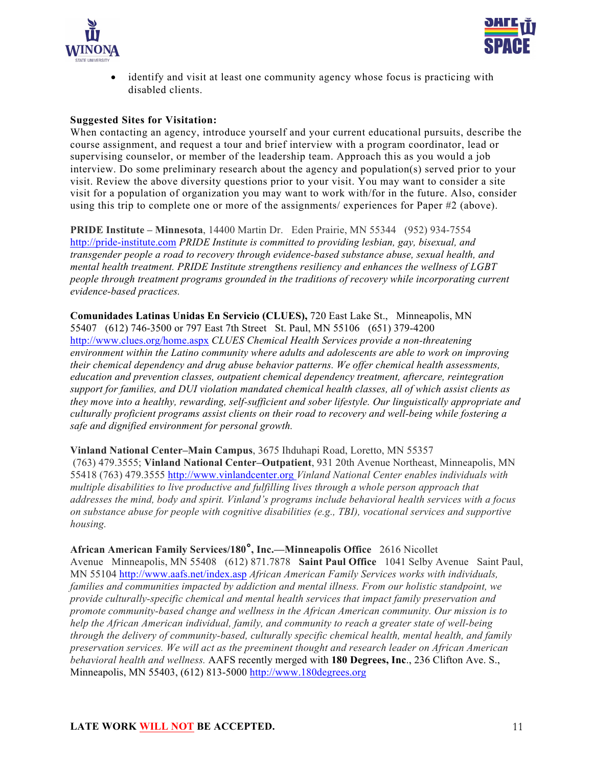



identify and visit at least one community agency whose focus is practicing with disabled clients.

#### **Suggested Sites for Visitation:**

When contacting an agency, introduce yourself and your current educational pursuits, describe the course assignment, and request a tour and brief interview with a program coordinator, lead or supervising counselor, or member of the leadership team. Approach this as you would a job interview. Do some preliminary research about the agency and population(s) served prior to your visit. Review the above diversity questions prior to your visit. You may want to consider a site visit for a population of organization you may want to work with/for in the future. Also, consider using this trip to complete one or more of the assignments/ experiences for Paper #2 (above).

**PRIDE Institute – Minnesota**, 14400 Martin Dr. Eden Prairie, MN 55344 (952) 934-7554 http://pride-institute.com *PRIDE Institute is committed to providing lesbian, gay, bisexual, and transgender people a road to recovery through evidence-based substance abuse, sexual health, and mental health treatment. PRIDE Institute strengthens resiliency and enhances the wellness of LGBT people through treatment programs grounded in the traditions of recovery while incorporating current evidence-based practices.*

**Comunidades Latinas Unidas En Servicio (CLUES),** 720 East Lake St., Minneapolis, MN 55407 (612) 746-3500 or 797 East 7th Street St. Paul, MN 55106 (651) 379-4200 http://www.clues.org/home.aspx *CLUES Chemical Health Services provide a non-threatening environment within the Latino community where adults and adolescents are able to work on improving their chemical dependency and drug abuse behavior patterns. We offer chemical health assessments, education and prevention classes, outpatient chemical dependency treatment, aftercare, reintegration support for families, and DUI violation mandated chemical health classes, all of which assist clients as they move into a healthy, rewarding, self-sufficient and sober lifestyle. Our linguistically appropriate and culturally proficient programs assist clients on their road to recovery and well-being while fostering a safe and dignified environment for personal growth.*

**Vinland National Center–Main Campus**, 3675 Ihduhapi Road, Loretto, MN 55357 (763) 479.3555; **Vinland National Center–Outpatient**, 931 20th Avenue Northeast, Minneapolis, MN 55418 (763) 479.3555 http://www.vinlandcenter.org *Vinland National Center enables individuals with multiple disabilities to live productive and fulfilling lives through a whole person approach that addresses the mind, body and spirit. Vinland's programs include behavioral health services with a focus on substance abuse for people with cognitive disabilities (e.g., TBI), vocational services and supportive housing.*

**African American Family Services/180°, Inc.—Minneapolis Office** 2616 Nicollet Avenue Minneapolis, MN 55408 (612) 871.7878 **Saint Paul Office** 1041 Selby Avenue Saint Paul, MN 55104 http://www.aafs.net/index.asp *African American Family Services works with individuals, families and communities impacted by addiction and mental illness. From our holistic standpoint, we provide culturally-specific chemical and mental health services that impact family preservation and promote community-based change and wellness in the African American community. Our mission is to help the African American individual, family, and community to reach a greater state of well-being through the delivery of community-based, culturally specific chemical health, mental health, and family preservation services. We will act as the preeminent thought and research leader on African American behavioral health and wellness.* AAFS recently merged with **180 Degrees, Inc**., 236 Clifton Ave. S., Minneapolis, MN 55403, (612) 813-5000 http://www.180degrees.org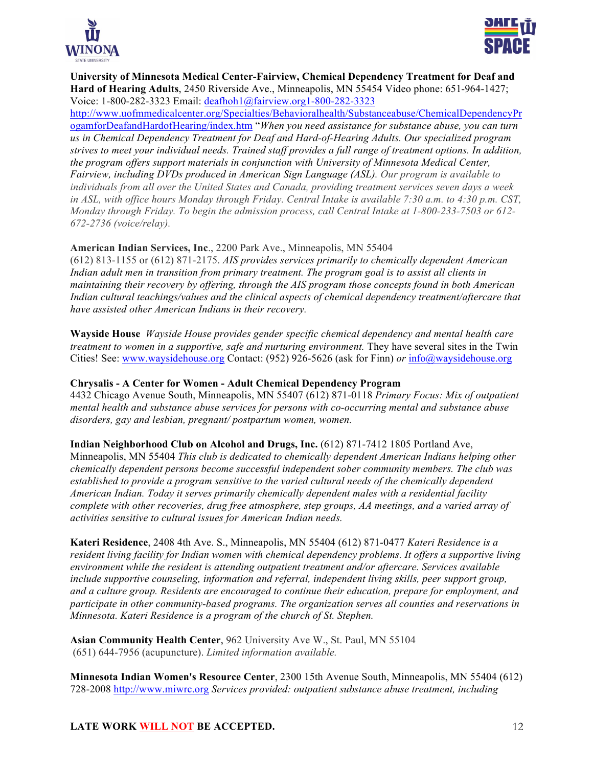



**University of Minnesota Medical Center-Fairview, Chemical Dependency Treatment for Deaf and Hard of Hearing Adults**, 2450 Riverside Ave., Minneapolis, MN 55454 Video phone: 651-964-1427; Voice: 1-800-282-3323 Email: deafhoh1@fairview.org1-800-282-3323

http://www.uofmmedicalcenter.org/Specialties/Behavioralhealth/Substanceabuse/ChemicalDependencyPr ogamforDeafandHardofHearing/index.htm "*When you need assistance for substance abuse, you can turn us in Chemical Dependency Treatment for Deaf and Hard-of-Hearing Adults. Our specialized program strives to meet your individual needs. Trained staff provides a full range of treatment options. In addition, the program offers support materials in conjunction with University of Minnesota Medical Center, Fairview, including DVDs produced in American Sign Language (ASL). Our program is available to individuals from all over the United States and Canada, providing treatment services seven days a week in ASL, with office hours Monday through Friday. Central Intake is available 7:30 a.m. to* 4:30 p.m. CST, *Monday through Friday. To begin the admission process, call Central Intake at 1-800-233-7503 or 612- 672-2736 (voice/relay).*

## **American Indian Services, Inc**., 2200 Park Ave., Minneapolis, MN 55404

(612) 813-1155 or (612) 871-2175. *AIS provides services primarily to chemically dependent American Indian adult men in transition from primary treatment. The program goal is to assist all clients in maintaining their recovery by offering, through the AIS program those concepts found in both American Indian cultural teachings/values and the clinical aspects of chemical dependency treatment/aftercare that have assisted other American Indians in their recovery.*

**Wayside House** *Wayside House provides gender specific chemical dependency and mental health care treatment to women in a supportive, safe and nurturing environment.* They have several sites in the Twin Cities! See: www.waysidehouse.org Contact: (952) 926-5626 (ask for Finn) *or* info@waysidehouse.org

## **Chrysalis - A Center for Women - Adult Chemical Dependency Program**

4432 Chicago Avenue South, Minneapolis, MN 55407 (612) 871-0118 *Primary Focus: Mix of outpatient mental health and substance abuse services for persons with co-occurring mental and substance abuse disorders, gay and lesbian, pregnant/ postpartum women, women.*

### **Indian Neighborhood Club on Alcohol and Drugs, Inc.** (612) 871-7412 1805 Portland Ave,

Minneapolis, MN 55404 *This club is dedicated to chemically dependent American Indians helping other chemically dependent persons become successful independent sober community members. The club was established to provide a program sensitive to the varied cultural needs of the chemically dependent American Indian. Today it serves primarily chemically dependent males with a residential facility complete with other recoveries, drug free atmosphere, step groups, AA meetings, and a varied array of activities sensitive to cultural issues for American Indian needs.*

**Kateri Residence**, 2408 4th Ave. S., Minneapolis, MN 55404 (612) 871-0477 *Kateri Residence is a resident living facility for Indian women with chemical dependency problems. It offers a supportive living environment while the resident is attending outpatient treatment and/or aftercare. Services available include supportive counseling, information and referral, independent living skills, peer support group, and a culture group. Residents are encouraged to continue their education, prepare for employment, and participate in other community-based programs. The organization serves all counties and reservations in Minnesota. Kateri Residence is a program of the church of St. Stephen.*

**Asian Community Health Center**, 962 University Ave W., St. Paul, MN 55104 (651) 644-7956 (acupuncture). *Limited information available.*

**Minnesota Indian Women's Resource Center**, 2300 15th Avenue South, Minneapolis, MN 55404 (612) 728-2008 http://www.miwrc.org *Services provided: outpatient substance abuse treatment, including*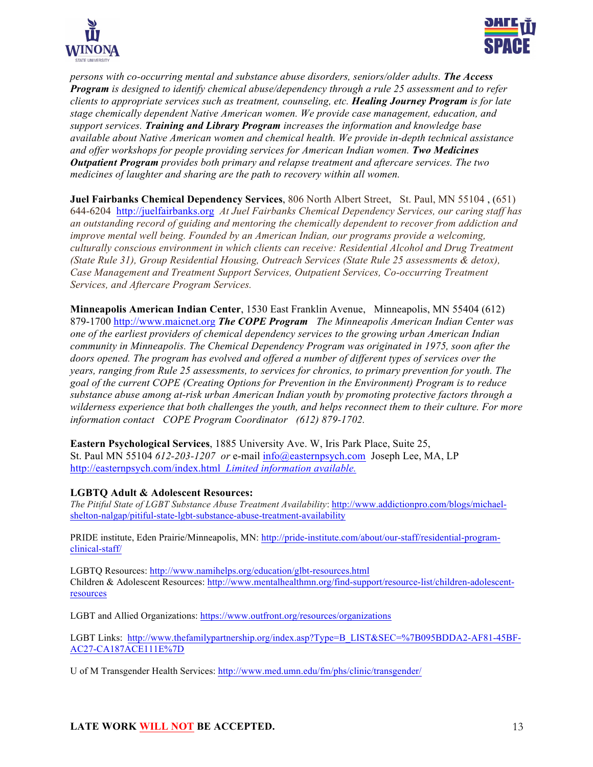



*persons with co-occurring mental and substance abuse disorders, seniors/older adults. The Access Program is designed to identify chemical abuse/dependency through a rule 25 assessment and to refer clients to appropriate services such as treatment, counseling, etc. Healing Journey Program is for late stage chemically dependent Native American women. We provide case management, education, and support services. Training and Library Program increases the information and knowledge base available about Native American women and chemical health. We provide in-depth technical assistance and offer workshops for people providing services for American Indian women. Two Medicines Outpatient Program provides both primary and relapse treatment and aftercare services. The two medicines of laughter and sharing are the path to recovery within all women.*

**Juel Fairbanks Chemical Dependency Services**, 806 North Albert Street, St. Paul, MN 55104 , (651) 644-6204 http://juelfairbanks.org *At Juel Fairbanks Chemical Dependency Services, our caring staff has an outstanding record of guiding and mentoring the chemically dependent to recover from addiction and improve mental well being. Founded by an American Indian, our programs provide a welcoming, culturally conscious environment in which clients can receive: Residential Alcohol and Drug Treatment (State Rule 31), Group Residential Housing, Outreach Services (State Rule 25 assessments & detox), Case Management and Treatment Support Services, Outpatient Services, Co-occurring Treatment Services, and Aftercare Program Services.* 

**Minneapolis American Indian Center**, 1530 East Franklin Avenue, Minneapolis, MN 55404 (612) 879-1700 http://www.maicnet.org *The COPE Program The Minneapolis American Indian Center was one of the earliest providers of chemical dependency services to the growing urban American Indian community in Minneapolis. The Chemical Dependency Program was originated in 1975, soon after the doors opened. The program has evolved and offered a number of different types of services over the years, ranging from Rule 25 assessments, to services for chronics, to primary prevention for youth. The goal of the current COPE (Creating Options for Prevention in the Environment) Program is to reduce substance abuse among at-risk urban American Indian youth by promoting protective factors through a wilderness experience that both challenges the youth, and helps reconnect them to their culture. For more information contact COPE Program Coordinator (612) 879-1702.*

**Eastern Psychological Services**, 1885 University Ave. W, Iris Park Place, Suite 25, St. Paul MN 55104 *612-203-1207 or* e-mail info@easternpsych.com Joseph Lee, MA, LP http://easternpsych.com/index.html *Limited information available.*

### **LGBTQ Adult & Adolescent Resources:**

*The Pitiful State of LGBT Substance Abuse Treatment Availability*: http://www.addictionpro.com/blogs/michaelshelton-nalgap/pitiful-state-lgbt-substance-abuse-treatment-availability

PRIDE institute, Eden Prairie/Minneapolis, MN: http://pride-institute.com/about/our-staff/residential-programclinical-staff/

LGBTQ Resources: http://www.namihelps.org/education/glbt-resources.html Children & Adolescent Resources: http://www.mentalhealthmn.org/find-support/resource-list/children-adolescentresources

LGBT and Allied Organizations: https://www.outfront.org/resources/organizations

LGBT Links: http://www.thefamilypartnership.org/index.asp?Type=B\_LIST&SEC=%7B095BDDA2-AF81-45BF-AC27-CA187ACE111E%7D

U of M Transgender Health Services: http://www.med.umn.edu/fm/phs/clinic/transgender/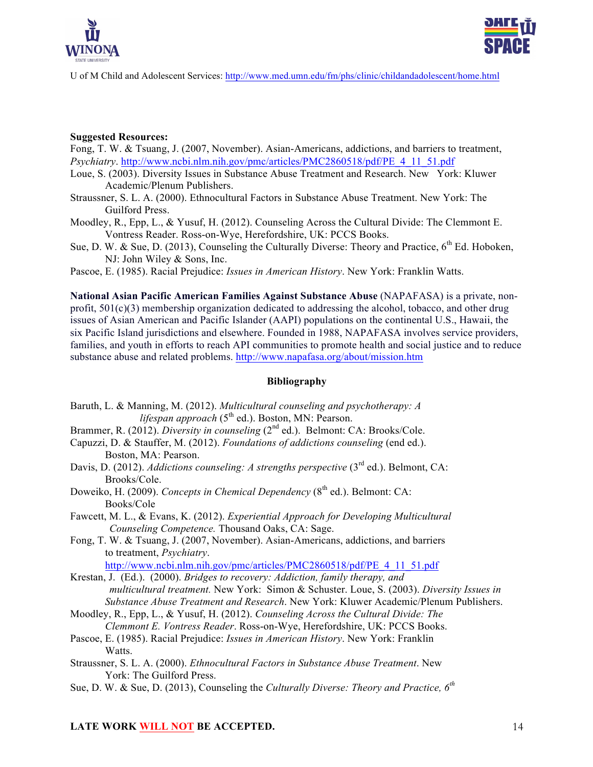



U of M Child and Adolescent Services: http://www.med.umn.edu/fm/phs/clinic/childandadolescent/home.html

#### **Suggested Resources:**

Fong, T. W. & Tsuang, J. (2007, November). Asian-Americans, addictions, and barriers to treatment, *Psychiatry*. http://www.ncbi.nlm.nih.gov/pmc/articles/PMC2860518/pdf/PE\_4\_11\_51.pdf

- Loue, S. (2003). Diversity Issues in Substance Abuse Treatment and Research. New York: Kluwer Academic/Plenum Publishers.
- Straussner, S. L. A. (2000). Ethnocultural Factors in Substance Abuse Treatment. New York: The Guilford Press.
- Moodley, R., Epp, L., & Yusuf, H. (2012). Counseling Across the Cultural Divide: The Clemmont E. Vontress Reader. Ross-on-Wye, Herefordshire, UK: PCCS Books.
- Sue, D. W. & Sue, D. (2013), Counseling the Culturally Diverse: Theory and Practice, 6<sup>th</sup> Ed. Hoboken, NJ: John Wiley & Sons, Inc.
- Pascoe, E. (1985). Racial Prejudice: *Issues in American History*. New York: Franklin Watts.

**National Asian Pacific American Families Against Substance Abuse** (NAPAFASA) is a private, nonprofit, 501(c)(3) membership organization dedicated to addressing the alcohol, tobacco, and other drug issues of Asian American and Pacific Islander (AAPI) populations on the continental U.S., Hawaii, the six Pacific Island jurisdictions and elsewhere. Founded in 1988, NAPAFASA involves service providers, families, and youth in efforts to reach API communities to promote health and social justice and to reduce substance abuse and related problems. http://www.napafasa.org/about/mission.htm

#### **Bibliography**

- Baruth, L. & Manning, M. (2012). *Multicultural counseling and psychotherapy: A lifespan approach* (5th ed.). Boston, MN: Pearson.
- Brammer, R. (2012). *Diversity in counseling* (2<sup>nd</sup> ed.). Belmont: CA: Brooks/Cole.
- Capuzzi, D. & Stauffer, M. (2012). *Foundations of addictions counseling* (end ed.). Boston, MA: Pearson.
- Davis, D. (2012). *Addictions counseling: A strengths perspective* (3<sup>rd</sup> ed.). Belmont, CA: Brooks/Cole.
- Doweiko, H. (2009). *Concepts in Chemical Dependency* (8<sup>th</sup> ed.). Belmont: CA: Books/Cole
- Fawcett, M. L., & Evans, K. (2012). *Experiential Approach for Developing Multicultural Counseling Competence.* Thousand Oaks, CA: Sage.
- Fong, T. W. & Tsuang, J. (2007, November). Asian-Americans, addictions, and barriers to treatment, *Psychiatry*.

http://www.ncbi.nlm.nih.gov/pmc/articles/PMC2860518/pdf/PE\_4\_11\_51.pdf

Krestan, J. (Ed.). (2000). *Bridges to recovery: Addiction, family therapy, and multicultural treatment.* New York: Simon & Schuster. Loue, S. (2003). *Diversity Issues in Substance Abuse Treatment and Research*. New York: Kluwer Academic/Plenum Publishers.

- Moodley, R., Epp, L., & Yusuf, H. (2012). *Counseling Across the Cultural Divide: The Clemmont E. Vontress Reader*. Ross-on-Wye, Herefordshire, UK: PCCS Books.
- Pascoe, E. (1985). Racial Prejudice: *Issues in American History*. New York: Franklin Watts.

Straussner, S. L. A. (2000). *Ethnocultural Factors in Substance Abuse Treatment*. New York: The Guilford Press.

Sue, D. W. & Sue, D. (2013), Counseling the *Culturally Diverse: Theory and Practice, 6th*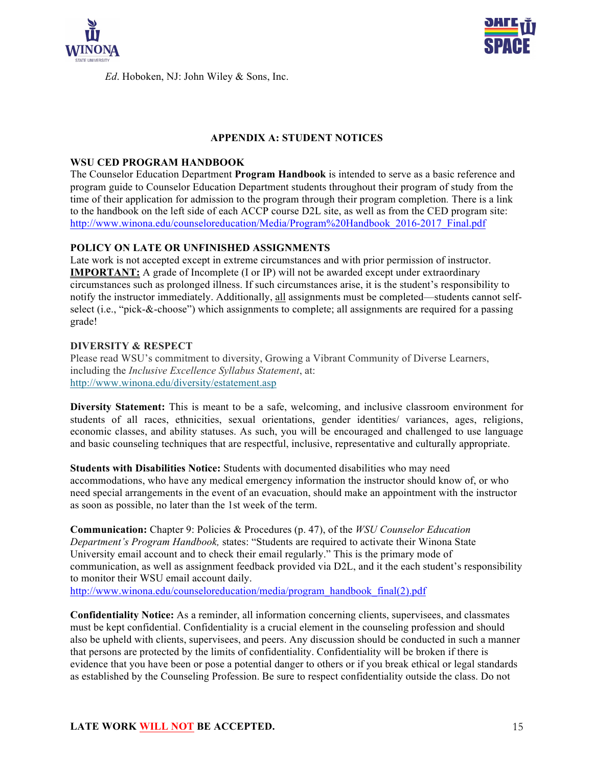

*Ed*. Hoboken, NJ: John Wiley & Sons, Inc.



## **APPENDIX A: STUDENT NOTICES**

### **WSU CED PROGRAM HANDBOOK**

The Counselor Education Department **Program Handbook** is intended to serve as a basic reference and program guide to Counselor Education Department students throughout their program of study from the time of their application for admission to the program through their program completion*.* There is a link to the handbook on the left side of each ACCP course D2L site, as well as from the CED program site: http://www.winona.edu/counseloreducation/Media/Program%20Handbook\_2016-2017\_Final.pdf

### **POLICY ON LATE OR UNFINISHED ASSIGNMENTS**

Late work is not accepted except in extreme circumstances and with prior permission of instructor. **IMPORTANT:** A grade of Incomplete (I or IP) will not be awarded except under extraordinary circumstances such as prolonged illness. If such circumstances arise, it is the student's responsibility to notify the instructor immediately. Additionally, all assignments must be completed—students cannot selfselect (i.e., "pick-&-choose") which assignments to complete; all assignments are required for a passing grade!

### **DIVERSITY & RESPECT**

Please read WSU's commitment to diversity, Growing a Vibrant Community of Diverse Learners, including the *Inclusive Excellence Syllabus Statement*, at: http://www.winona.edu/diversity/estatement.asp

**Diversity Statement:** This is meant to be a safe, welcoming, and inclusive classroom environment for students of all races, ethnicities, sexual orientations, gender identities/ variances, ages, religions, economic classes, and ability statuses. As such, you will be encouraged and challenged to use language and basic counseling techniques that are respectful, inclusive, representative and culturally appropriate.

**Students with Disabilities Notice:** Students with documented disabilities who may need accommodations, who have any medical emergency information the instructor should know of, or who need special arrangements in the event of an evacuation, should make an appointment with the instructor as soon as possible, no later than the 1st week of the term.

**Communication:** Chapter 9: Policies & Procedures (p. 47), of the *WSU Counselor Education Department's Program Handbook,* states: "Students are required to activate their Winona State University email account and to check their email regularly." This is the primary mode of communication, as well as assignment feedback provided via D2L, and it the each student's responsibility to monitor their WSU email account daily.

http://www.winona.edu/counseloreducation/media/program\_handbook\_final(2).pdf

**Confidentiality Notice:** As a reminder, all information concerning clients, supervisees, and classmates must be kept confidential. Confidentiality is a crucial element in the counseling profession and should also be upheld with clients, supervisees, and peers. Any discussion should be conducted in such a manner that persons are protected by the limits of confidentiality. Confidentiality will be broken if there is evidence that you have been or pose a potential danger to others or if you break ethical or legal standards as established by the Counseling Profession. Be sure to respect confidentiality outside the class. Do not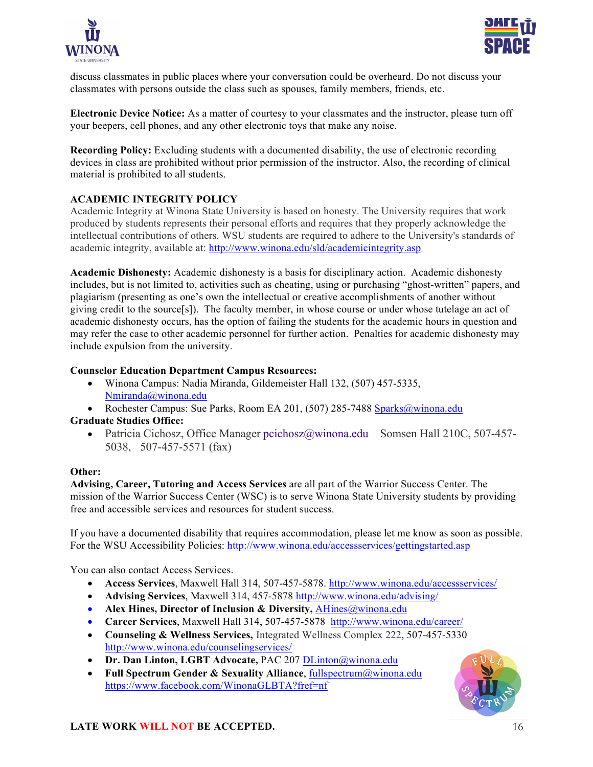



discuss classmates in public places where your conversation could be overheard. Do not discuss your classmates with persons outside the class such as spouses, family members, friends, etc.

**Electronic Device Notice:** As a matter of courtesy to your classmates and the instructor, please turn off your beepers, cell phones, and any other electronic toys that make any noise.

**Recording Policy:** Excluding students with a documented disability, the use of electronic recording devices in class are prohibited without prior permission of the instructor. Also, the recording of clinical material is prohibited to all students.

## **ACADEMIC INTEGRITY POLICY**

Academic Integrity at Winona State University is based on honesty. The University requires that work produced by students represents their personal efforts and requires that they properly acknowledge the intellectual contributions of others. WSU students are required to adhere to the University's standards of academic integrity, available at: http://www.winona.edu/sld/academicintegrity.asp

**Academic Dishonesty:** Academic dishonesty is a basis for disciplinary action. Academic dishonesty includes, but is not limited to, activities such as cheating, using or purchasing "ghost-written" papers, and plagiarism (presenting as one's own the intellectual or creative accomplishments of another without giving credit to the source[s]). The faculty member, in whose course or under whose tutelage an act of academic dishonesty occurs, has the option of failing the students for the academic hours in question and may refer the case to other academic personnel for further action. Penalties for academic dishonesty may include expulsion from the university.

## **Counselor Education Department Campus Resources:**

- Winona Campus: Nadia Miranda, Gildemeister Hall 132, (507) 457-5335, Nmiranda@winona.edu
- Rochester Campus: Sue Parks, Room EA 201, (507) 285-7488 Sparks@winona.edu **Graduate Studies Office:** 
	- Patricia Cichosz, Office Manager pcichosz@winona.edu Somsen Hall 210C, 507-457-5038, 507-457-5571 (fax)

### **Other:**

**Advising, Career, Tutoring and Access Services** are all part of the Warrior Success Center. The mission of the Warrior Success Center (WSC) is to serve Winona State University students by providing free and accessible services and resources for student success.

If you have a documented disability that requires accommodation, please let me know as soon as possible. For the WSU Accessibility Policies: http://www.winona.edu/accessservices/gettingstarted.asp

You can also contact Access Services.

- **Access Services**, Maxwell Hall 314, 507-457-5878. http://www.winona.edu/accessservices/
- **Advising Services**, Maxwell 314, 457-5878 http://www.winona.edu/advising/
- **Alex Hines, Director of Inclusion & Diversity, AHines@winona.edu**
- **Career Services**, Maxwell Hall 314, 507-457-5878 http://www.winona.edu/career/
- **Counseling & Wellness Services,** Integrated Wellness Complex 222, 507-457-5330 http://www.winona.edu/counselingservices/
- **Dr. Dan Linton, LGBT Advocate,** PAC 207 DLinton@winona.edu
- **Full Spectrum Gender & Sexuality Alliance**, fullspectrum@winona.edu https://www.facebook.com/WinonaGLBTA?fref=nf

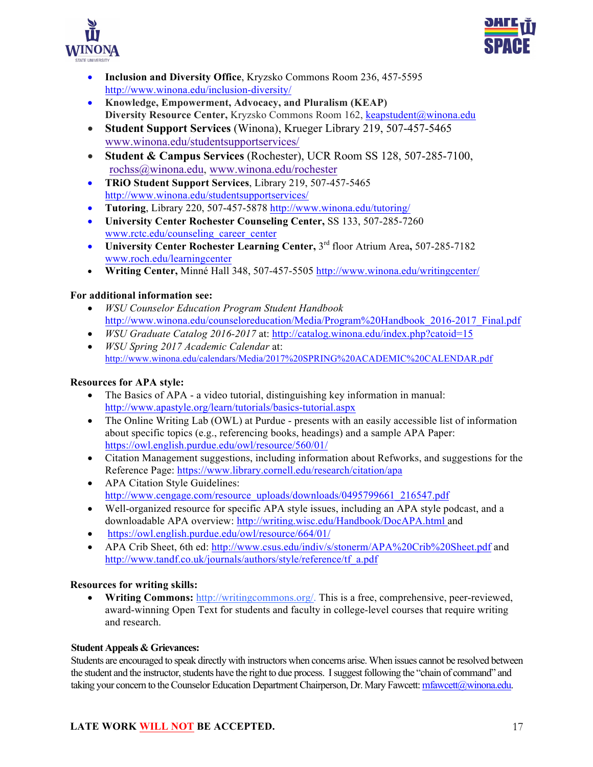



- **Inclusion and Diversity Office**, Kryzsko Commons Room 236, 457-5595 http://www.winona.edu/inclusion-diversity/
- **Knowledge, Empowerment, Advocacy, and Pluralism (KEAP) Diversity Resource Center,** Kryzsko Commons Room 162, keapstudent@winona.edu
- **Student Support Services** (Winona), Krueger Library 219, 507-457-5465 www.winona.edu/studentsupportservices/
- **Student & Campus Services** (Rochester), UCR Room SS 128, 507-285-7100, rochss@winona.edu, www.winona.edu/rochester
- **TRiO Student Support Services**, Library 219, 507-457-5465 http://www.winona.edu/studentsupportservices/
- **Tutoring**, Library 220, 507-457-5878 http://www.winona.edu/tutoring/
- **University Center Rochester Counseling Center,** SS 133, 507-285-7260 www.rctc.edu/counseling\_career\_center
- **University Center Rochester Learning Center,** 3rd floor Atrium Area**,** 507-285-7182 www.roch.edu/learningcenter
- **Writing Center,** Minné Hall 348, 507-457-5505 http://www.winona.edu/writingcenter/

## **For additional information see:**

- *WSU Counselor Education Program Student Handbook*  http://www.winona.edu/counseloreducation/Media/Program%20Handbook\_2016-2017\_Final.pdf
- *WSU Graduate Catalog 2016-2017* at: http://catalog.winona.edu/index.php?catoid=15
- *WSU Spring 2017 Academic Calendar* at: http://www.winona.edu/calendars/Media/2017%20SPRING%20ACADEMIC%20CALENDAR.pdf

## **Resources for APA style:**

- The Basics of APA a video tutorial, distinguishing key information in manual: http://www.apastyle.org/learn/tutorials/basics-tutorial.aspx
- The Online Writing Lab (OWL) at Purdue presents with an easily accessible list of information about specific topics (e.g., referencing books, headings) and a sample APA Paper: https://owl.english.purdue.edu/owl/resource/560/01/
- Citation Management suggestions, including information about Refworks, and suggestions for the Reference Page: https://www.library.cornell.edu/research/citation/apa
- APA Citation Style Guidelines: http://www.cengage.com/resource\_uploads/downloads/0495799661\_216547.pdf
- Well-organized resource for specific APA style issues, including an APA style podcast, and a downloadable APA overview: http://writing.wisc.edu/Handbook/DocAPA.html and
- https://owl.english.purdue.edu/owl/resource/664/01/
- APA Crib Sheet, 6th ed: http://www.csus.edu/indiv/s/stonerm/APA%20Crib%20Sheet.pdf and http://www.tandf.co.uk/journals/authors/style/reference/tf\_a.pdf

## **Resources for writing skills:**

• **Writing Commons:** http://writingcommons.org/. This is a free, comprehensive, peer-reviewed, award-winning Open Text for students and faculty in college-level courses that require writing and research.

## **Student Appeals & Grievances:**

Students are encouraged to speak directly with instructors when concerns arise. When issues cannot be resolved between the student and the instructor, students have the right to due process. I suggest following the "chain of command" and taking your concern to the Counselor Education Department Chairperson, Dr. Mary Fawcett: mfawcett@winona.edu.